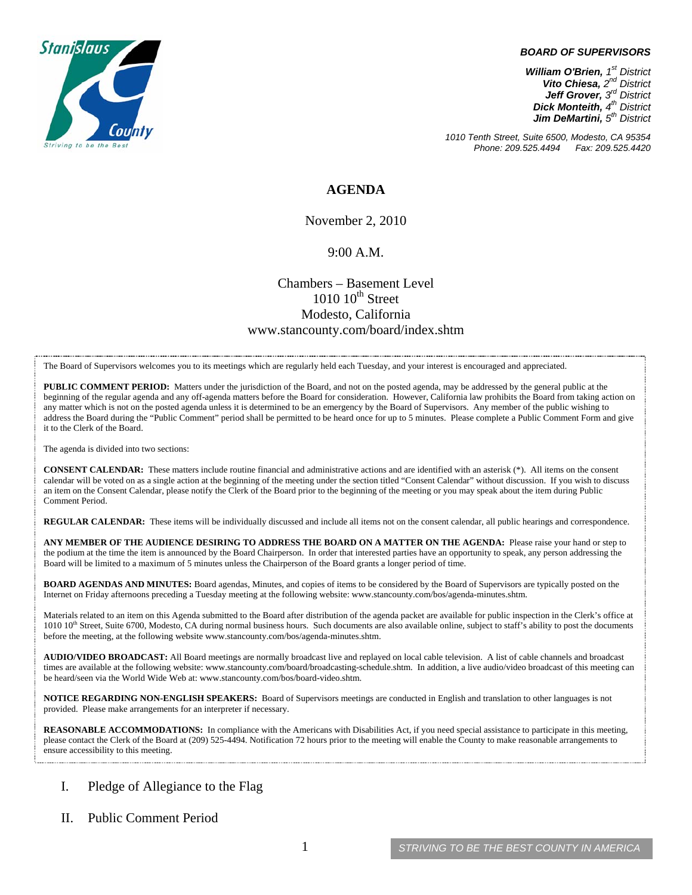

#### *BOARD OF SUPERVISORS*

*William O'Brien, 1st District Vito Chiesa, 2nd District Jeff Grover, 3rd District Dick Monteith, 4th District Jim DeMartini, 5th District*

*1010 Tenth Street, Suite 6500, Modesto, CA 95354 Phone: 209.525.4494* 

## **AGENDA**

November 2, 2010

### 9:00 A.M.

## Chambers – Basement Level  $1010$   $10^{th}$  Street Modesto, California www.stancounty.com/board/index.shtm

The Board of Supervisors welcomes you to its meetings which are regularly held each Tuesday, and your interest is encouraged and appreciated.

**PUBLIC COMMENT PERIOD:** Matters under the jurisdiction of the Board, and not on the posted agenda, may be addressed by the general public at the beginning of the regular agenda and any off-agenda matters before the Board for consideration. However, California law prohibits the Board from taking action on any matter which is not on the posted agenda unless it is determined to be an emergency by the Board of Supervisors. Any member of the public wishing to address the Board during the "Public Comment" period shall be permitted to be heard once for up to 5 minutes. Please complete a Public Comment Form and give it to the Clerk of the Board.

The agenda is divided into two sections:

**CONSENT CALENDAR:** These matters include routine financial and administrative actions and are identified with an asterisk (\*). All items on the consent calendar will be voted on as a single action at the beginning of the meeting under the section titled "Consent Calendar" without discussion. If you wish to discuss an item on the Consent Calendar, please notify the Clerk of the Board prior to the beginning of the meeting or you may speak about the item during Public Comment Period.

**REGULAR CALENDAR:** These items will be individually discussed and include all items not on the consent calendar, all public hearings and correspondence.

**ANY MEMBER OF THE AUDIENCE DESIRING TO ADDRESS THE BOARD ON A MATTER ON THE AGENDA:** Please raise your hand or step to the podium at the time the item is announced by the Board Chairperson. In order that interested parties have an opportunity to speak, any person addressing the Board will be limited to a maximum of 5 minutes unless the Chairperson of the Board grants a longer period of time.

**BOARD AGENDAS AND MINUTES:** Board agendas, Minutes, and copies of items to be considered by the Board of Supervisors are typically posted on the Internet on Friday afternoons preceding a Tuesday meeting at the following website: www.stancounty.com/bos/agenda-minutes.shtm.

Materials related to an item on this Agenda submitted to the Board after distribution of the agenda packet are available for public inspection in the Clerk's office at 1010 10<sup>th</sup> Street, Suite 6700, Modesto, CA during normal business hours. Such documents are also available online, subject to staff's ability to post the documents before the meeting, at the following website www.stancounty.com/bos/agenda-minutes.shtm.

**AUDIO/VIDEO BROADCAST:** All Board meetings are normally broadcast live and replayed on local cable television. A list of cable channels and broadcast times are available at the following website: www.stancounty.com/board/broadcasting-schedule.shtm. In addition, a live audio/video broadcast of this meeting can be heard/seen via the World Wide Web at: www.stancounty.com/bos/board-video.shtm.

**NOTICE REGARDING NON-ENGLISH SPEAKERS:** Board of Supervisors meetings are conducted in English and translation to other languages is not provided. Please make arrangements for an interpreter if necessary.

**REASONABLE ACCOMMODATIONS:** In compliance with the Americans with Disabilities Act, if you need special assistance to participate in this meeting, please contact the Clerk of the Board at (209) 525-4494. Notification 72 hours prior to the meeting will enable the County to make reasonable arrangements to ensure accessibility to this meeting.

### I. Pledge of Allegiance to the Flag

II. Public Comment Period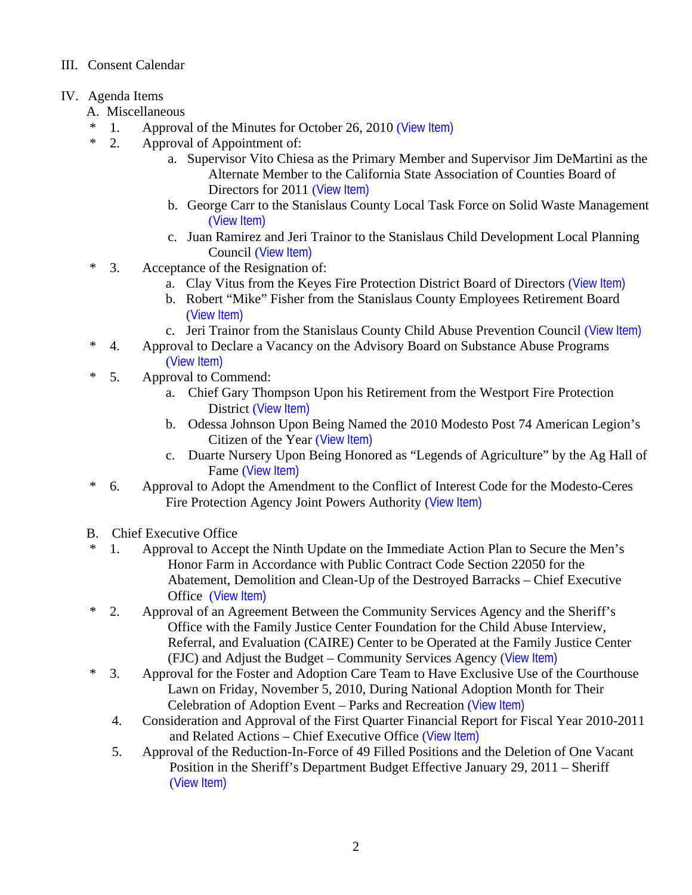# III. Consent Calendar

# IV. Agenda Items

- A. Miscellaneous
- \* 1. Approval of the Minutes for October 26, 2010 ([View Item\)](http://www.stancounty.com/bos/minutes/2010/min10-26-10.pdf)
- \* 2. Approval of Appointment of:
	- a. Supervisor Vito Chiesa as the Primary Member and Supervisor Jim DeMartini as the Alternate Member to the California State Association of Counties Board of Directors for 2011 ([View Item\)](http://www.stancounty.com/bos/agenda/2010/20101102/A02a.pdf)
	- b. George Carr to the Stanislaus County Local Task Force on Solid Waste Management ([View Item\)](http://www.stancounty.com/bos/agenda/2010/20101102/A02b.pdf)
	- c. Juan Ramirez and Jeri Trainor to the Stanislaus Child Development Local Planning Council ([View Item\)](http://www.stancounty.com/bos/agenda/2010/20101102/A02c.pdf)
- \* 3. Acceptance of the Resignation of:
	- a. Clay Vitus from the Keyes Fire Protection District Board of Directors ([View Item\)](http://www.stancounty.com/bos/agenda/2010/20101102/A03a.pdf)
	- b. Robert "Mike" Fisher from the Stanislaus County Employees Retirement Board ([View Item\)](http://www.stancounty.com/bos/agenda/2010/20101102/A03b.pdf)
	- c. Jeri Trainor from the Stanislaus County Child Abuse Prevention Council ([View Item\)](http://www.stancounty.com/bos/agenda/2010/20101102/A03c.pdf)
- \* 4. Approval to Declare a Vacancy on the Advisory Board on Substance Abuse Programs ([View Item\)](http://www.stancounty.com/bos/agenda/2010/20101102/A04.pdf)
- \* 5. Approval to Commend:
	- a. Chief Gary Thompson Upon his Retirement from the Westport Fire Protection District ([View Item\)](http://www.stancounty.com/bos/agenda/2010/20101102/A05a.pdf)
	- b. Odessa Johnson Upon Being Named the 2010 Modesto Post 74 American Legion's Citizen of the Year ([View Item\)](http://www.stancounty.com/bos/agenda/2010/20101102/A05b.pdf)
	- c. Duarte Nursery Upon Being Honored as "Legends of Agriculture" by the Ag Hall of Fame ([View Item\)](http://www.stancounty.com/bos/agenda/2010/20101102/A05c.pdf)
- \* 6. Approval to Adopt the Amendment to the Conflict of Interest Code for the Modesto-Ceres Fire Protection Agency Joint Powers Authority ([View Item\)](http://www.stancounty.com/bos/agenda/2010/20101102/A06.pdf)
- B. Chief Executive Office
- \* 1. Approval to Accept the Ninth Update on the Immediate Action Plan to Secure the Men's Honor Farm in Accordance with Public Contract Code Section 22050 for the Abatement, Demolition and Clean-Up of the Destroyed Barracks – Chief Executive Office ([View Item\)](http://www.stancounty.com/bos/agenda/2010/20101102/B01.pdf)
- \* 2. Approval of an Agreement Between the Community Services Agency and the Sheriff's Office with the Family Justice Center Foundation for the Child Abuse Interview, Referral, and Evaluation (CAIRE) Center to be Operated at the Family Justice Center (FJC) and Adjust the Budget – Community Services Agency ([View Item\)](http://www.stancounty.com/bos/agenda/2010/20101102/B02.pdf)
- \* 3. Approval for the Foster and Adoption Care Team to Have Exclusive Use of the Courthouse Lawn on Friday, November 5, 2010, During National Adoption Month for Their Celebration of Adoption Event – Parks and Recreation ([View Item\)](http://www.stancounty.com/bos/agenda/2010/20101102/B03.pdf)
	- 4. Consideration and Approval of the First Quarter Financial Report for Fiscal Year 2010-2011 and Related Actions – Chief Executive Office ([View Item\)](http://www.stancounty.com/bos/agenda/2010/20101102/B04.pdf)
	- 5. Approval of the Reduction-In-Force of 49 Filled Positions and the Deletion of One Vacant Position in the Sheriff's Department Budget Effective January 29, 2011 – Sheriff ([View Item\)](http://www.stancounty.com/bos/agenda/2010/20101102/B05.pdf)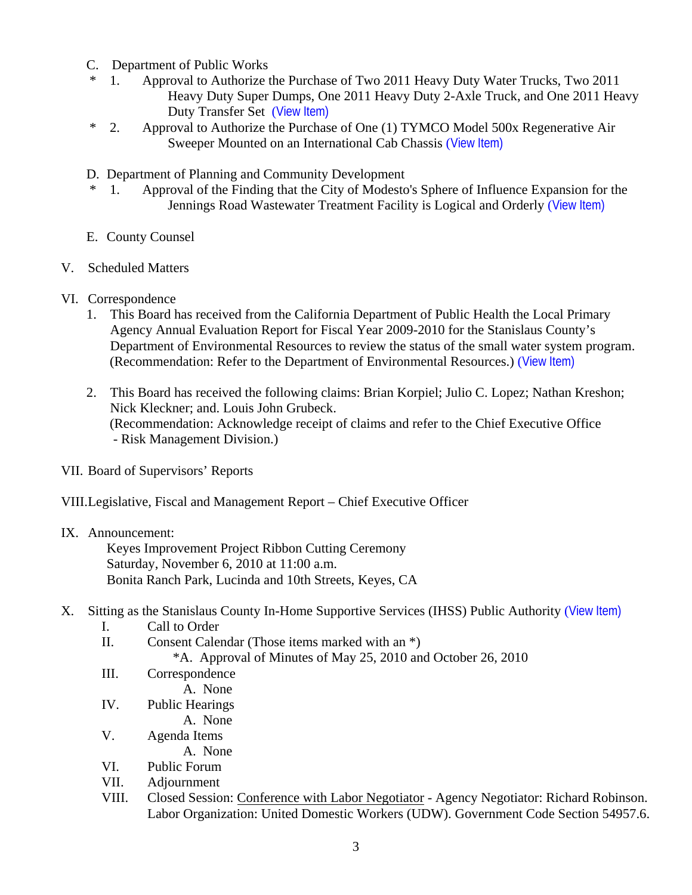- C. Department of Public Works
- 1. Approval to Authorize the Purchase of Two 2011 Heavy Duty Water Trucks, Two 2011 Heavy Duty Super Dumps, One 2011 Heavy Duty 2-Axle Truck, and One 2011 Heavy Duty Transfer Set ([View Item\)](http://www.stancounty.com/bos/agenda/2010/20101102/C01.pdf)
- \* 2. Approval to Authorize the Purchase of One (1) TYMCO Model 500x Regenerative Air Sweeper Mounted on an International Cab Chassis ([View Item\)](http://www.stancounty.com/bos/agenda/2010/20101102/C02.pdf)
- D. Department of Planning and Community Development
- 1. Approval of the Finding that the City of Modesto's Sphere of Influence Expansion for the Jennings Road Wastewater Treatment Facility is Logical and Orderly ([View Item\)](http://www.stancounty.com/bos/agenda/2010/20101102/D01.pdf)
- E. County Counsel
- V. Scheduled Matters
- VI. Correspondence
	- 1. This Board has received from the California Department of Public Health the Local Primary Agency Annual Evaluation Report for Fiscal Year 2009-2010 for the Stanislaus County's Department of Environmental Resources to review the status of the small water system program. (Recommendation: Refer to the Department of Environmental Resources.) ([View Item\)](http://www.stancounty.com/bos/agenda/2010/20101102/Corr01.pdf)
	- 2. This Board has received the following claims: Brian Korpiel; Julio C. Lopez; Nathan Kreshon; Nick Kleckner; and. Louis John Grubeck. (Recommendation: Acknowledge receipt of claims and refer to the Chief Executive Office - Risk Management Division.)
- VII. Board of Supervisors' Reports

VIII.Legislative, Fiscal and Management Report – Chief Executive Officer

## IX. Announcement:

 Keyes Improvement Project Ribbon Cutting Ceremony Saturday, November 6, 2010 at 11:00 a.m. Bonita Ranch Park, Lucinda and 10th Streets, Keyes, CA

- X. Sitting as the Stanislaus County In-Home Supportive Services (IHSS) Public Authority ([View Item\)](http://www.stancounty.com/bos/agenda/2010/20101102/X.pdf)
	- I. Call to Order
	- II. Consent Calendar (Those items marked with an \*)

\*A. Approval of Minutes of May 25, 2010 and October 26, 2010

- III. Correspondence
	- A. None
- IV. Public Hearings
	- A. None
- V. Agenda Items
	- A. None
- VI. Public Forum
- VII. Adjournment
- VIII. Closed Session: Conference with Labor Negotiator Agency Negotiator: Richard Robinson. Labor Organization: United Domestic Workers (UDW). Government Code Section 54957.6.